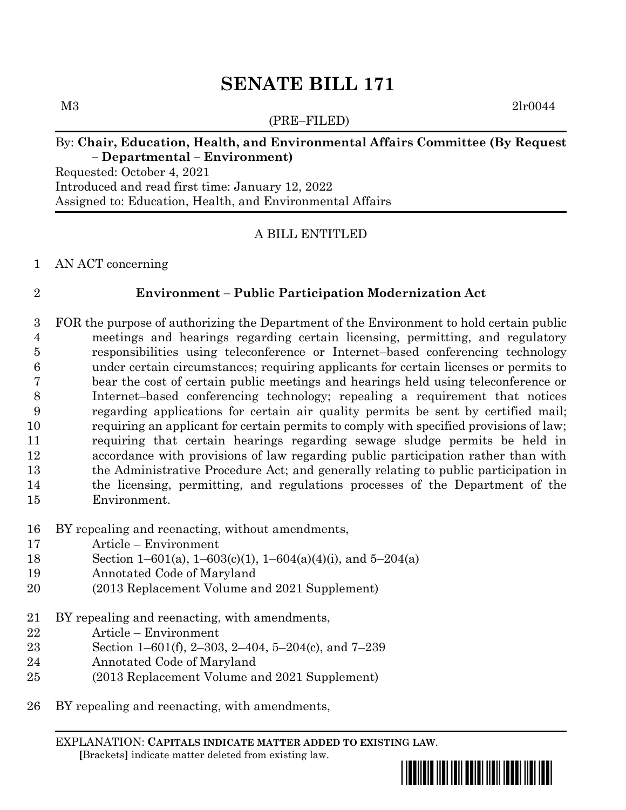(PRE–FILED)

M3 2lr0044

### By: **Chair, Education, Health, and Environmental Affairs Committee (By Request – Departmental – Environment)**

Requested: October 4, 2021 Introduced and read first time: January 12, 2022 Assigned to: Education, Health, and Environmental Affairs

### A BILL ENTITLED

AN ACT concerning

#### **Environment – Public Participation Modernization Act**

 FOR the purpose of authorizing the Department of the Environment to hold certain public meetings and hearings regarding certain licensing, permitting, and regulatory responsibilities using teleconference or Internet–based conferencing technology under certain circumstances; requiring applicants for certain licenses or permits to bear the cost of certain public meetings and hearings held using teleconference or Internet–based conferencing technology; repealing a requirement that notices regarding applications for certain air quality permits be sent by certified mail; requiring an applicant for certain permits to comply with specified provisions of law; requiring that certain hearings regarding sewage sludge permits be held in accordance with provisions of law regarding public participation rather than with the Administrative Procedure Act; and generally relating to public participation in the licensing, permitting, and regulations processes of the Department of the Environment.

- BY repealing and reenacting, without amendments,
- Article Environment
- Section 1–601(a), 1–603(c)(1), 1–604(a)(4)(i), and 5–204(a)
- Annotated Code of Maryland
- (2013 Replacement Volume and 2021 Supplement)
- BY repealing and reenacting, with amendments,
- Article Environment
- Section 1–601(f), 2–303, 2–404, 5–204(c), and 7–239
- Annotated Code of Maryland
- (2013 Replacement Volume and 2021 Supplement)
- BY repealing and reenacting, with amendments,

EXPLANATION: **CAPITALS INDICATE MATTER ADDED TO EXISTING LAW**.  **[**Brackets**]** indicate matter deleted from existing law.

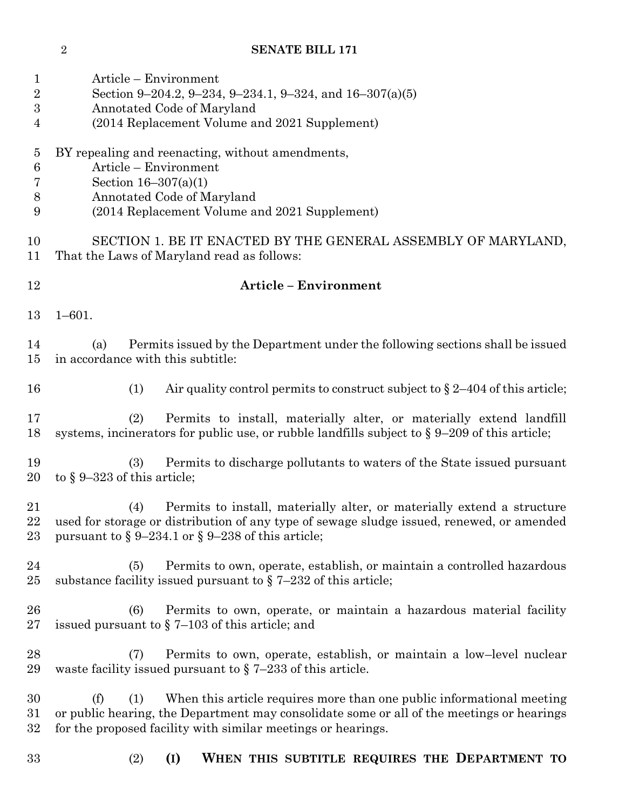| 1<br>$\sqrt{2}$<br>$\overline{3}$<br>4                | Article – Environment<br>Section 9-204.2, 9-234, 9-234.1, 9-324, and 16-307(a)(5)<br>Annotated Code of Maryland<br>(2014 Replacement Volume and 2021 Supplement)                                                                                 |
|-------------------------------------------------------|--------------------------------------------------------------------------------------------------------------------------------------------------------------------------------------------------------------------------------------------------|
| $\overline{5}$<br>$\boldsymbol{6}$<br>7<br>$8\,$<br>9 | BY repealing and reenacting, without amendments,<br>Article - Environment<br>Section $16-307(a)(1)$<br>Annotated Code of Maryland<br>(2014 Replacement Volume and 2021 Supplement)                                                               |
| 10<br>11                                              | SECTION 1. BE IT ENACTED BY THE GENERAL ASSEMBLY OF MARYLAND,<br>That the Laws of Maryland read as follows:                                                                                                                                      |
| 12                                                    | <b>Article - Environment</b>                                                                                                                                                                                                                     |
| 13                                                    | $1 - 601$ .                                                                                                                                                                                                                                      |
| 14<br>15                                              | Permits issued by the Department under the following sections shall be issued<br>(a)<br>in accordance with this subtitle:                                                                                                                        |
| 16                                                    | Air quality control permits to construct subject to $\S 2-404$ of this article;<br>(1)                                                                                                                                                           |
| 17<br>18                                              | (2)<br>Permits to install, materially alter, or materially extend landfill<br>systems, incinerators for public use, or rubble landfills subject to $\S 9-209$ of this article;                                                                   |
| 19<br>20                                              | Permits to discharge pollutants to waters of the State issued pursuant<br>(3)<br>to $\S 9-323$ of this article;                                                                                                                                  |
| 21<br>22<br>23                                        | Permits to install, materially alter, or materially extend a structure<br>(4)<br>used for storage or distribution of any type of sewage sludge issued, renewed, or amended<br>pursuant to $\S 9-234.1$ or $\S 9-238$ of this article;            |
| 24<br>25                                              | Permits to own, operate, establish, or maintain a controlled hazardous<br>(5)<br>substance facility issued pursuant to $\S$ 7-232 of this article;                                                                                               |
| 26<br>27                                              | (6)<br>Permits to own, operate, or maintain a hazardous material facility<br>issued pursuant to $\S$ 7–103 of this article; and                                                                                                                  |
| 28<br>29                                              | Permits to own, operate, establish, or maintain a low-level nuclear<br>(7)<br>waste facility issued pursuant to $\S$ 7–233 of this article.                                                                                                      |
| 30<br>31<br>32                                        | When this article requires more than one public informational meeting<br>(f)<br>(1)<br>or public hearing, the Department may consolidate some or all of the meetings or hearings<br>for the proposed facility with similar meetings or hearings. |
| 33                                                    | WHEN THIS SUBTITLE REQUIRES THE DEPARTMENT TO<br>(2)<br>(I)                                                                                                                                                                                      |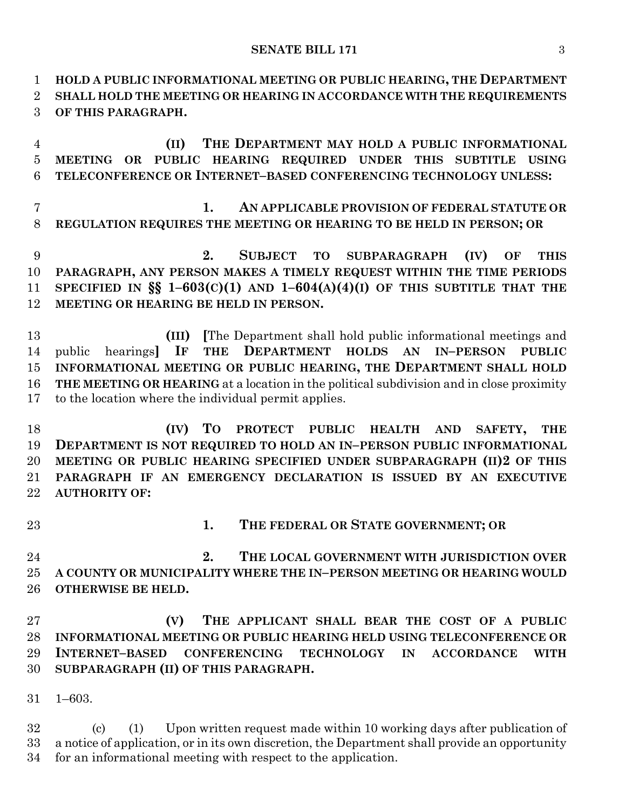**HOLD A PUBLIC INFORMATIONAL MEETING OR PUBLIC HEARING, THE DEPARTMENT SHALL HOLD THE MEETING OR HEARING IN ACCORDANCE WITH THE REQUIREMENTS OF THIS PARAGRAPH.**

 **(II) THE DEPARTMENT MAY HOLD A PUBLIC INFORMATIONAL MEETING OR PUBLIC HEARING REQUIRED UNDER THIS SUBTITLE USING TELECONFERENCE OR INTERNET–BASED CONFERENCING TECHNOLOGY UNLESS:**

 **1. AN APPLICABLE PROVISION OF FEDERAL STATUTE OR REGULATION REQUIRES THE MEETING OR HEARING TO BE HELD IN PERSON; OR**

 **2. SUBJECT TO SUBPARAGRAPH (IV) OF THIS PARAGRAPH, ANY PERSON MAKES A TIMELY REQUEST WITHIN THE TIME PERIODS SPECIFIED IN §§ 1–603(C)(1) AND 1–604(A)(4)(I) OF THIS SUBTITLE THAT THE MEETING OR HEARING BE HELD IN PERSON.**

 **(III) [**The Department shall hold public informational meetings and public hearings**] IF THE DEPARTMENT HOLDS AN IN–PERSON PUBLIC INFORMATIONAL MEETING OR PUBLIC HEARING, THE DEPARTMENT SHALL HOLD THE MEETING OR HEARING** at a location in the political subdivision and in close proximity to the location where the individual permit applies.

 **(IV) TO PROTECT PUBLIC HEALTH AND SAFETY, THE DEPARTMENT IS NOT REQUIRED TO HOLD AN IN–PERSON PUBLIC INFORMATIONAL MEETING OR PUBLIC HEARING SPECIFIED UNDER SUBPARAGRAPH (II)2 OF THIS PARAGRAPH IF AN EMERGENCY DECLARATION IS ISSUED BY AN EXECUTIVE AUTHORITY OF:**

**1. THE FEDERAL OR STATE GOVERNMENT; OR**

 **2. THE LOCAL GOVERNMENT WITH JURISDICTION OVER A COUNTY OR MUNICIPALITY WHERE THE IN–PERSON MEETING OR HEARING WOULD OTHERWISE BE HELD.**

 **(V) THE APPLICANT SHALL BEAR THE COST OF A PUBLIC INFORMATIONAL MEETING OR PUBLIC HEARING HELD USING TELECONFERENCE OR INTERNET–BASED CONFERENCING TECHNOLOGY IN ACCORDANCE WITH SUBPARAGRAPH (II) OF THIS PARAGRAPH.**

1–603.

 (c) (1) Upon written request made within 10 working days after publication of a notice of application, or in its own discretion, the Department shall provide an opportunity for an informational meeting with respect to the application.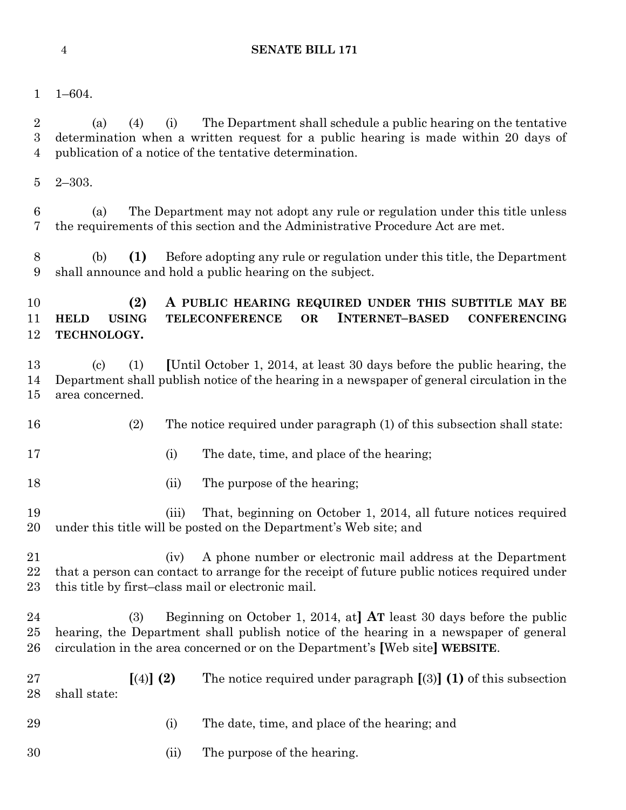- 
- 1–604.

 (a) (4) (i) The Department shall schedule a public hearing on the tentative determination when a written request for a public hearing is made within 20 days of publication of a notice of the tentative determination.

2–303.

 (a) The Department may not adopt any rule or regulation under this title unless the requirements of this section and the Administrative Procedure Act are met.

 (b) **(1)** Before adopting any rule or regulation under this title, the Department shall announce and hold a public hearing on the subject.

## **(2) A PUBLIC HEARING REQUIRED UNDER THIS SUBTITLE MAY BE HELD USING TELECONFERENCE OR INTERNET–BASED CONFERENCING TECHNOLOGY.**

 (c) (1) **[**Until October 1, 2014, at least 30 days before the public hearing, the Department shall publish notice of the hearing in a newspaper of general circulation in the area concerned.

- (2) The notice required under paragraph (1) of this subsection shall state:
- 17 (i) The date, time, and place of the hearing;
- 18 (ii) The purpose of the hearing;

 (iii) That, beginning on October 1, 2014, all future notices required under this title will be posted on the Department's Web site; and

- (iv) A phone number or electronic mail address at the Department that a person can contact to arrange for the receipt of future public notices required under this title by first–class mail or electronic mail.
- (3) Beginning on October 1, 2014, at**] AT** least 30 days before the public hearing, the Department shall publish notice of the hearing in a newspaper of general circulation in the area concerned or on the Department's **[**Web site**] WEBSITE**.
- **[**(4)**] (2)** The notice required under paragraph **[**(3)**] (1)** of this subsection shall state:
- (i) The date, time, and place of the hearing; and
- (ii) The purpose of the hearing.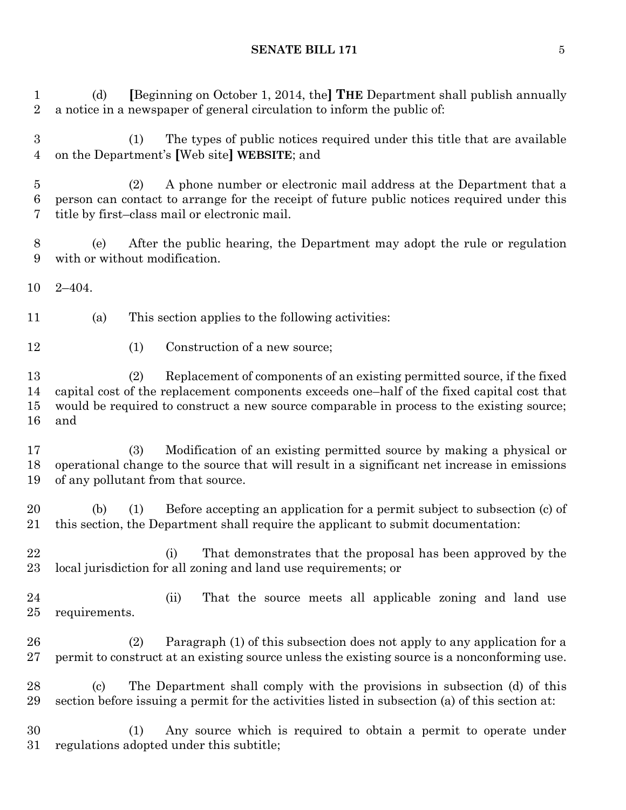(d) **[**Beginning on October 1, 2014, the**] THE** Department shall publish annually a notice in a newspaper of general circulation to inform the public of:

 (1) The types of public notices required under this title that are available on the Department's **[**Web site**] WEBSITE**; and

 (2) A phone number or electronic mail address at the Department that a person can contact to arrange for the receipt of future public notices required under this title by first–class mail or electronic mail.

 (e) After the public hearing, the Department may adopt the rule or regulation with or without modification.

2–404.

(a) This section applies to the following activities:

12 (1) Construction of a new source;

 (2) Replacement of components of an existing permitted source, if the fixed capital cost of the replacement components exceeds one–half of the fixed capital cost that would be required to construct a new source comparable in process to the existing source; and

 (3) Modification of an existing permitted source by making a physical or operational change to the source that will result in a significant net increase in emissions of any pollutant from that source.

 (b) (1) Before accepting an application for a permit subject to subsection (c) of this section, the Department shall require the applicant to submit documentation:

 (i) That demonstrates that the proposal has been approved by the local jurisdiction for all zoning and land use requirements; or

 (ii) That the source meets all applicable zoning and land use requirements.

 (2) Paragraph (1) of this subsection does not apply to any application for a permit to construct at an existing source unless the existing source is a nonconforming use.

 (c) The Department shall comply with the provisions in subsection (d) of this section before issuing a permit for the activities listed in subsection (a) of this section at:

 (1) Any source which is required to obtain a permit to operate under regulations adopted under this subtitle;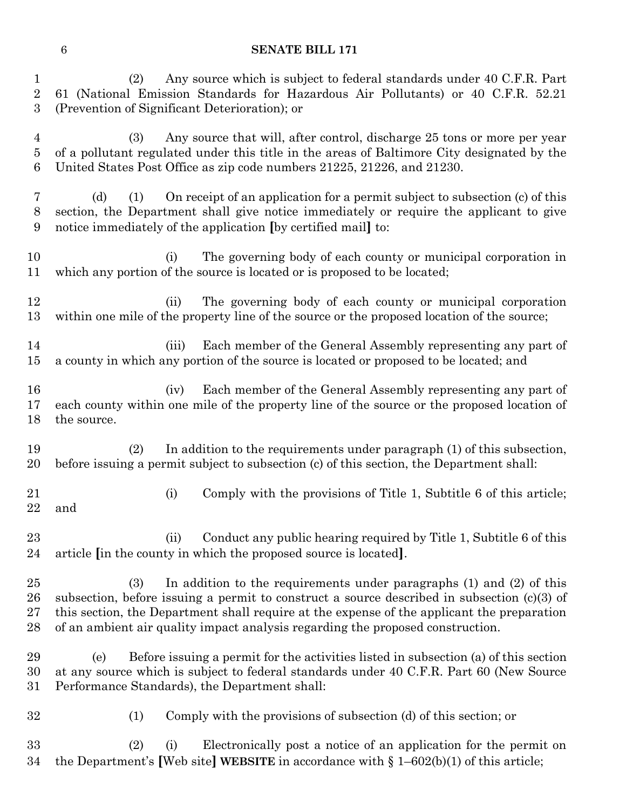(2) Any source which is subject to federal standards under 40 C.F.R. Part 61 (National Emission Standards for Hazardous Air Pollutants) or 40 C.F.R. 52.21 (Prevention of Significant Deterioration); or

 (3) Any source that will, after control, discharge 25 tons or more per year of a pollutant regulated under this title in the areas of Baltimore City designated by the United States Post Office as zip code numbers 21225, 21226, and 21230.

 (d) (1) On receipt of an application for a permit subject to subsection (c) of this section, the Department shall give notice immediately or require the applicant to give notice immediately of the application **[**by certified mail**]** to:

 (i) The governing body of each county or municipal corporation in which any portion of the source is located or is proposed to be located;

 (ii) The governing body of each county or municipal corporation within one mile of the property line of the source or the proposed location of the source;

 (iii) Each member of the General Assembly representing any part of a county in which any portion of the source is located or proposed to be located; and

 (iv) Each member of the General Assembly representing any part of each county within one mile of the property line of the source or the proposed location of the source.

 (2) In addition to the requirements under paragraph (1) of this subsection, before issuing a permit subject to subsection (c) of this section, the Department shall:

 (i) Comply with the provisions of Title 1, Subtitle 6 of this article; and

23 (ii) Conduct any public hearing required by Title 1, Subtitle 6 of this article **[**in the county in which the proposed source is located**]**.

 (3) In addition to the requirements under paragraphs (1) and (2) of this subsection, before issuing a permit to construct a source described in subsection (c)(3) of this section, the Department shall require at the expense of the applicant the preparation of an ambient air quality impact analysis regarding the proposed construction.

 (e) Before issuing a permit for the activities listed in subsection (a) of this section at any source which is subject to federal standards under 40 C.F.R. Part 60 (New Source Performance Standards), the Department shall:

(1) Comply with the provisions of subsection (d) of this section; or

 (2) (i) Electronically post a notice of an application for the permit on the Department's **[**Web site**] WEBSITE** in accordance with § 1–602(b)(1) of this article;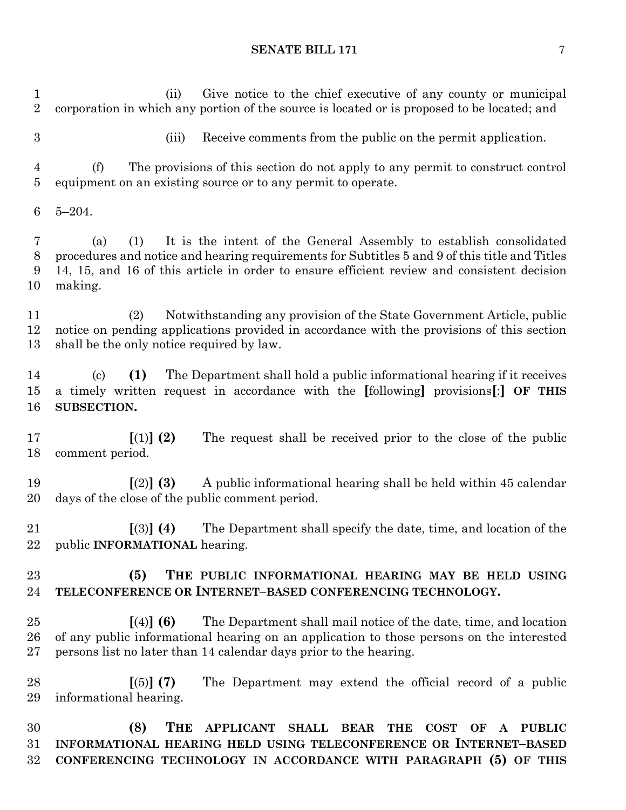(ii) Give notice to the chief executive of any county or municipal corporation in which any portion of the source is located or is proposed to be located; and (iii) Receive comments from the public on the permit application. (f) The provisions of this section do not apply to any permit to construct control equipment on an existing source or to any permit to operate. 5–204. (a) (1) It is the intent of the General Assembly to establish consolidated procedures and notice and hearing requirements for Subtitles 5 and 9 of this title and Titles 14, 15, and 16 of this article in order to ensure efficient review and consistent decision making. (2) Notwithstanding any provision of the State Government Article, public notice on pending applications provided in accordance with the provisions of this section shall be the only notice required by law. (c) **(1)** The Department shall hold a public informational hearing if it receives a timely written request in accordance with the **[**following**]** provisions**[**:**] OF THIS SUBSECTION. [**(1)**] (2)** The request shall be received prior to the close of the public comment period. **[**(2)**] (3)** A public informational hearing shall be held within 45 calendar days of the close of the public comment period. **[**(3)**] (4)** The Department shall specify the date, time, and location of the public **INFORMATIONAL** hearing. **(5) THE PUBLIC INFORMATIONAL HEARING MAY BE HELD USING TELECONFERENCE OR INTERNET–BASED CONFERENCING TECHNOLOGY. [**(4)**] (6)** The Department shall mail notice of the date, time, and location of any public informational hearing on an application to those persons on the interested persons list no later than 14 calendar days prior to the hearing. **[**(5)**] (7)** The Department may extend the official record of a public informational hearing. **(8) THE APPLICANT SHALL BEAR THE COST OF A PUBLIC INFORMATIONAL HEARING HELD USING TELECONFERENCE OR INTERNET–BASED** 

**CONFERENCING TECHNOLOGY IN ACCORDANCE WITH PARAGRAPH (5) OF THIS**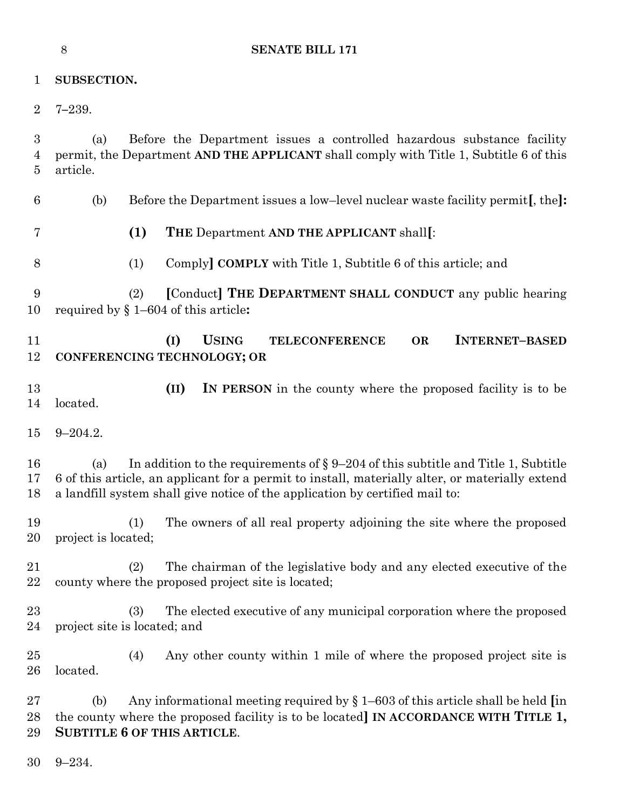|                | 8<br><b>SENATE BILL 171</b>                                                                                                                                                                                                                                                    |
|----------------|--------------------------------------------------------------------------------------------------------------------------------------------------------------------------------------------------------------------------------------------------------------------------------|
| $\mathbf 1$    | SUBSECTION.                                                                                                                                                                                                                                                                    |
| $\overline{2}$ | $7 - 239.$                                                                                                                                                                                                                                                                     |
| 3<br>4<br>5    | Before the Department issues a controlled hazardous substance facility<br>(a)<br>permit, the Department AND THE APPLICANT shall comply with Title 1, Subtitle 6 of this<br>article.                                                                                            |
| 6              | Before the Department issues a low-level nuclear waste facility permit. the.<br>(b)                                                                                                                                                                                            |
| 7              | (1)<br>THE Department AND THE APPLICANT shall[:                                                                                                                                                                                                                                |
| 8              | Comply COMPLY with Title 1, Subtitle 6 of this article; and<br>(1)                                                                                                                                                                                                             |
| 9<br>10        | [Conduct] THE DEPARTMENT SHALL CONDUCT any public hearing<br>(2)<br>required by $\S 1-604$ of this article:                                                                                                                                                                    |
| 11<br>12       | (I)<br><b>USING</b><br><b>OR</b><br><b>INTERNET-BASED</b><br><b>TELECONFERENCE</b><br>CONFERENCING TECHNOLOGY; OR                                                                                                                                                              |
| 13<br>14       | (II)<br>IN PERSON in the county where the proposed facility is to be<br>located.                                                                                                                                                                                               |
| 15             | $9 - 204.2.$                                                                                                                                                                                                                                                                   |
| 16<br>17<br>18 | In addition to the requirements of $\S 9-204$ of this subtitle and Title 1, Subtitle<br>(a)<br>6 of this article, an applicant for a permit to install, materially alter, or materially extend<br>a landfill system shall give notice of the application by certified mail to: |
| 19<br>20       | The owners of all real property adjoining the site where the proposed<br>(1)<br>project is located;                                                                                                                                                                            |
| 21<br>22       | The chairman of the legislative body and any elected executive of the<br>(2)<br>county where the proposed project site is located;                                                                                                                                             |
| 23<br>24       | The elected executive of any municipal corporation where the proposed<br>(3)<br>project site is located; and                                                                                                                                                                   |
| 25<br>26       | Any other county within 1 mile of where the proposed project site is<br>(4)<br>located.                                                                                                                                                                                        |
| 27<br>28<br>29 | Any informational meeting required by $\S 1-603$ of this article shall be held [in]<br>(b)<br>the county where the proposed facility is to be located] IN ACCORDANCE WITH TITLE 1,<br><b>SUBTITLE 6 OF THIS ARTICLE.</b>                                                       |
| 30             | $9 - 234.$                                                                                                                                                                                                                                                                     |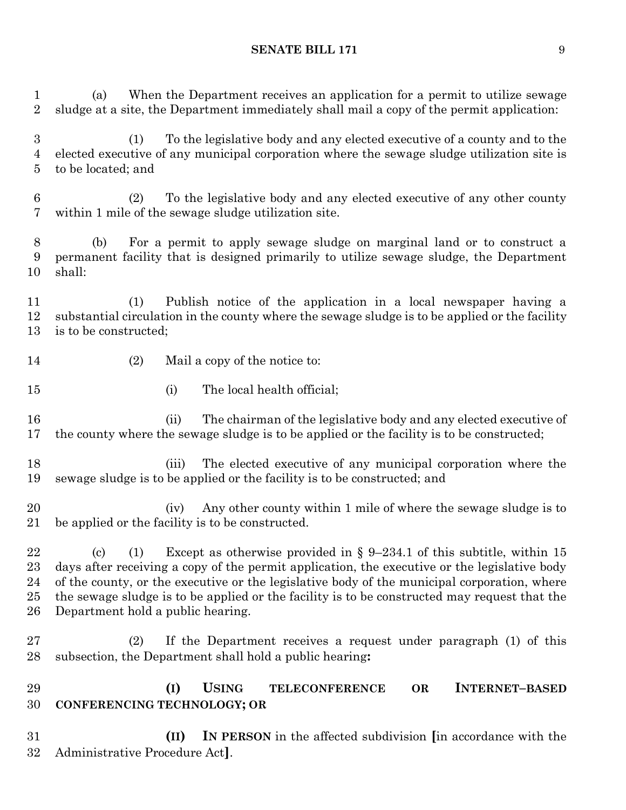(a) When the Department receives an application for a permit to utilize sewage sludge at a site, the Department immediately shall mail a copy of the permit application:

 (1) To the legislative body and any elected executive of a county and to the elected executive of any municipal corporation where the sewage sludge utilization site is to be located; and

 (2) To the legislative body and any elected executive of any other county within 1 mile of the sewage sludge utilization site.

 (b) For a permit to apply sewage sludge on marginal land or to construct a permanent facility that is designed primarily to utilize sewage sludge, the Department shall:

 (1) Publish notice of the application in a local newspaper having a substantial circulation in the county where the sewage sludge is to be applied or the facility is to be constructed;

- 14 (2) Mail a copy of the notice to:
- 15 (i) The local health official;

 (ii) The chairman of the legislative body and any elected executive of the county where the sewage sludge is to be applied or the facility is to be constructed;

 (iii) The elected executive of any municipal corporation where the sewage sludge is to be applied or the facility is to be constructed; and

 (iv) Any other county within 1 mile of where the sewage sludge is to be applied or the facility is to be constructed.

 (c) (1) Except as otherwise provided in § 9–234.1 of this subtitle, within 15 days after receiving a copy of the permit application, the executive or the legislative body of the county, or the executive or the legislative body of the municipal corporation, where the sewage sludge is to be applied or the facility is to be constructed may request that the Department hold a public hearing.

 (2) If the Department receives a request under paragraph (1) of this subsection, the Department shall hold a public hearing**:** 

 **(I) USING TELECONFERENCE OR INTERNET–BASED CONFERENCING TECHNOLOGY; OR**

 **(II) IN PERSON** in the affected subdivision **[**in accordance with the Administrative Procedure Act**]**.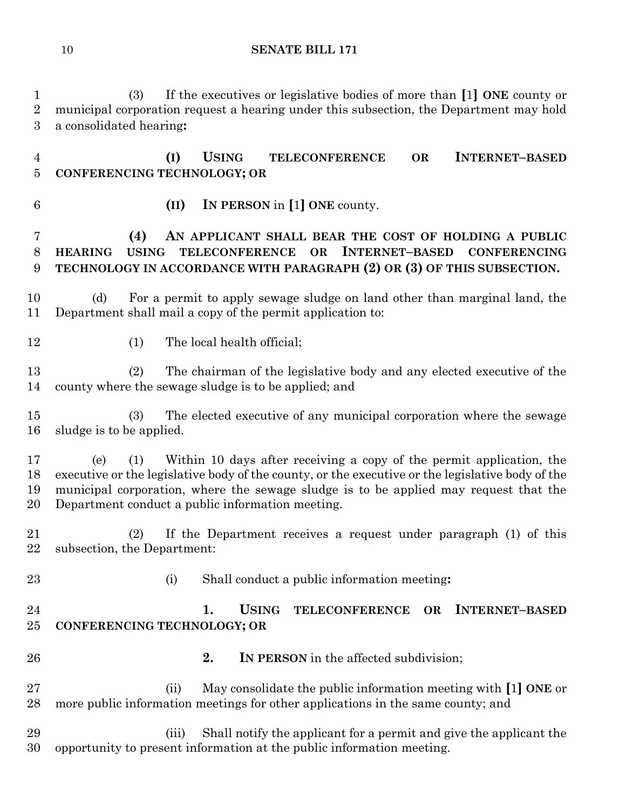(3) If the executives or legislative bodies of more than **[**1**] ONE** county or municipal corporation request a hearing under this subsection, the Department may hold a consolidated hearing**:**

 **(I) USING TELECONFERENCE OR INTERNET–BASED CONFERENCING TECHNOLOGY; OR**

**(II) IN PERSON** in **[**1**] ONE** county.

## **(4) AN APPLICANT SHALL BEAR THE COST OF HOLDING A PUBLIC HEARING USING TELECONFERENCE OR INTERNET–BASED CONFERENCING TECHNOLOGY IN ACCORDANCE WITH PARAGRAPH (2) OR (3) OF THIS SUBSECTION.**

 (d) For a permit to apply sewage sludge on land other than marginal land, the Department shall mail a copy of the permit application to:

12 (1) The local health official;

 (2) The chairman of the legislative body and any elected executive of the county where the sewage sludge is to be applied; and

 (3) The elected executive of any municipal corporation where the sewage sludge is to be applied.

 (e) (1) Within 10 days after receiving a copy of the permit application, the executive or the legislative body of the county, or the executive or the legislative body of the municipal corporation, where the sewage sludge is to be applied may request that the Department conduct a public information meeting.

 (2) If the Department receives a request under paragraph (1) of this subsection, the Department:

- 
- (i) Shall conduct a public information meeting**:**

## **1. USING TELECONFERENCE OR INTERNET–BASED CONFERENCING TECHNOLOGY; OR**

- 
- **2. IN PERSON** in the affected subdivision;

 (ii) May consolidate the public information meeting with **[**1**] ONE** or more public information meetings for other applications in the same county; and

 (iii) Shall notify the applicant for a permit and give the applicant the opportunity to present information at the public information meeting.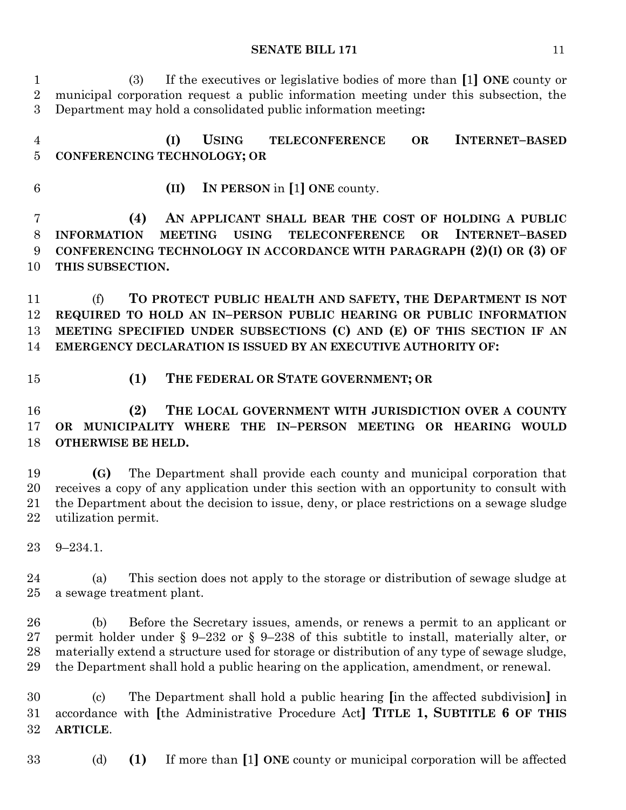(3) If the executives or legislative bodies of more than **[**1**] ONE** county or municipal corporation request a public information meeting under this subsection, the Department may hold a consolidated public information meeting**:**

 **(I) USING TELECONFERENCE OR INTERNET–BASED CONFERENCING TECHNOLOGY; OR**

**(II) IN PERSON** in **[**1**] ONE** county.

 **(4) AN APPLICANT SHALL BEAR THE COST OF HOLDING A PUBLIC INFORMATION MEETING USING TELECONFERENCE OR INTERNET–BASED CONFERENCING TECHNOLOGY IN ACCORDANCE WITH PARAGRAPH (2)(I) OR (3) OF THIS SUBSECTION.**

 (f) **TO PROTECT PUBLIC HEALTH AND SAFETY, THE DEPARTMENT IS NOT REQUIRED TO HOLD AN IN–PERSON PUBLIC HEARING OR PUBLIC INFORMATION MEETING SPECIFIED UNDER SUBSECTIONS (C) AND (E) OF THIS SECTION IF AN EMERGENCY DECLARATION IS ISSUED BY AN EXECUTIVE AUTHORITY OF:**

- 
- **(1) THE FEDERAL OR STATE GOVERNMENT; OR**

 **(2) THE LOCAL GOVERNMENT WITH JURISDICTION OVER A COUNTY OR MUNICIPALITY WHERE THE IN–PERSON MEETING OR HEARING WOULD OTHERWISE BE HELD.**

 **(G)** The Department shall provide each county and municipal corporation that receives a copy of any application under this section with an opportunity to consult with the Department about the decision to issue, deny, or place restrictions on a sewage sludge utilization permit.

9–234.1.

 (a) This section does not apply to the storage or distribution of sewage sludge at a sewage treatment plant.

 (b) Before the Secretary issues, amends, or renews a permit to an applicant or permit holder under § 9–232 or § 9–238 of this subtitle to install, materially alter, or materially extend a structure used for storage or distribution of any type of sewage sludge, the Department shall hold a public hearing on the application, amendment, or renewal.

 (c) The Department shall hold a public hearing **[**in the affected subdivision**]** in accordance with **[**the Administrative Procedure Act**] TITLE 1, SUBTITLE 6 OF THIS ARTICLE**.

(d) **(1)** If more than **[**1**] ONE** county or municipal corporation will be affected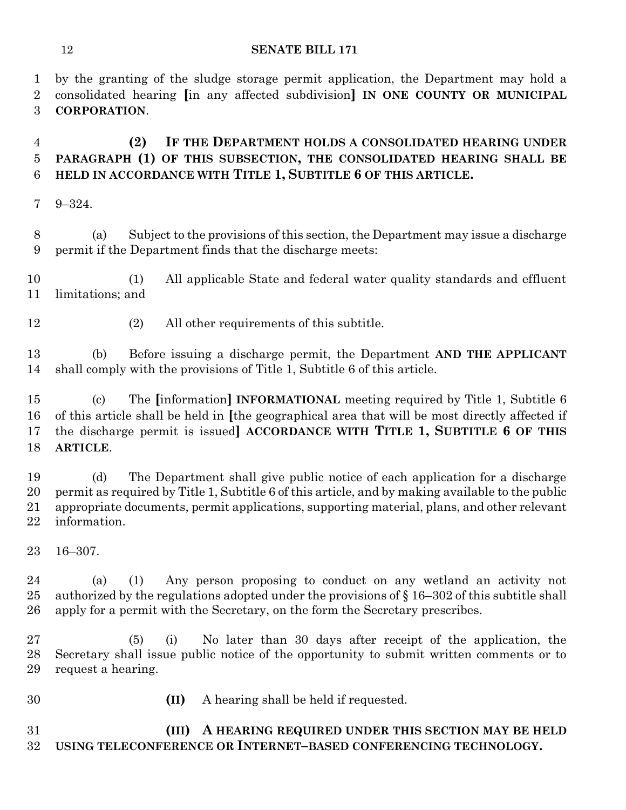by the granting of the sludge storage permit application, the Department may hold a consolidated hearing **[**in any affected subdivision**] IN ONE COUNTY OR MUNICIPAL CORPORATION**.

## **(2) IF THE DEPARTMENT HOLDS A CONSOLIDATED HEARING UNDER PARAGRAPH (1) OF THIS SUBSECTION, THE CONSOLIDATED HEARING SHALL BE HELD IN ACCORDANCE WITH TITLE 1, SUBTITLE 6 OF THIS ARTICLE.**

9–324.

 (a) Subject to the provisions of this section, the Department may issue a discharge permit if the Department finds that the discharge meets:

 (1) All applicable State and federal water quality standards and effluent limitations; and

(2) All other requirements of this subtitle.

 (b) Before issuing a discharge permit, the Department **AND THE APPLICANT**  shall comply with the provisions of Title 1, Subtitle 6 of this article.

 (c) The **[**information**] INFORMATIONAL** meeting required by Title 1, Subtitle 6 of this article shall be held in **[**the geographical area that will be most directly affected if the discharge permit is issued**] ACCORDANCE WITH TITLE 1, SUBTITLE 6 OF THIS ARTICLE**.

 (d) The Department shall give public notice of each application for a discharge permit as required by Title 1, Subtitle 6 of this article, and by making available to the public appropriate documents, permit applications, supporting material, plans, and other relevant information.

16–307.

 (a) (1) Any person proposing to conduct on any wetland an activity not 25 authorized by the regulations adopted under the provisions of  $\S 16-302$  of this subtitle shall apply for a permit with the Secretary, on the form the Secretary prescribes.

 (5) (i) No later than 30 days after receipt of the application, the Secretary shall issue public notice of the opportunity to submit written comments or to request a hearing.

- 
- **(II)** A hearing shall be held if requested.

 **(III) A HEARING REQUIRED UNDER THIS SECTION MAY BE HELD USING TELECONFERENCE OR INTERNET–BASED CONFERENCING TECHNOLOGY.**